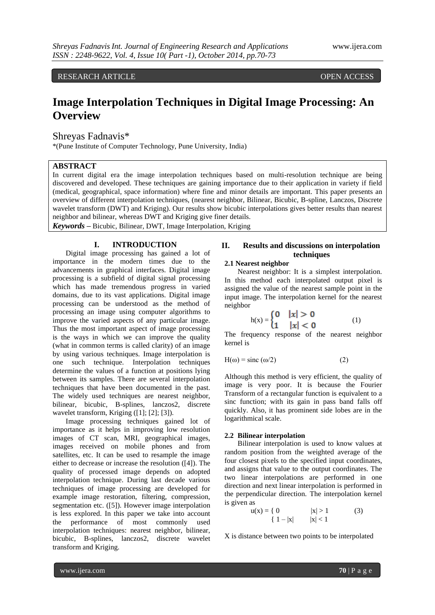RESEARCH ARTICLE OPEN ACCESS

# **Image Interpolation Techniques in Digital Image Processing: An Overview**

Shreyas Fadnavis\*

\*(Pune Institute of Computer Technology, Pune University, India)

# **ABSTRACT**

In current digital era the image interpolation techniques based on multi-resolution technique are being discovered and developed. These techniques are gaining importance due to their application in variety if field (medical, geographical, space information) where fine and minor details are important. This paper presents an overview of different interpolation techniques, (nearest neighbor, Bilinear, Bicubic, B-spline, Lanczos, Discrete wavelet transform (DWT) and Kriging). Our results show bicubic interpolations gives better results than nearest neighbor and bilinear, whereas DWT and Kriging give finer details.

*Keywords* **–** Bicubic, Bilinear, DWT, Image Interpolation, Kriging

# **I. INTRODUCTION**

Digital image processing has gained a lot of importance in the modern times due to the advancements in graphical interfaces. Digital image processing is a subfield of digital signal processing which has made tremendous progress in varied domains, due to its vast applications. Digital image processing can be understood as the method of processing an image using computer algorithms to improve the varied aspects of any particular image. Thus the most important aspect of image processing is the ways in which we can improve the quality (what in common terms is called clarity) of an image by using various techniques. Image interpolation is one such technique. Interpolation techniques determine the values of a function at positions lying between its samples. There are several interpolation techniques that have been documented in the past. The widely used techniques are nearest neighbor, bilinear, bicubic, B-splines, lanczos2, discrete wavelet transform, Kriging ([1]; [2]; [3]).

Image processing techniques gained lot of importance as it helps in improving low resolution images of CT scan, MRI, geographical images, images received on mobile phones and from satellites, etc. It can be used to resample the image either to decrease or increase the resolution ([4]). The quality of processed image depends on adopted interpolation technique. During last decade various techniques of image processing are developed for example image restoration, filtering, compression, segmentation etc. ([5]). However image interpolation is less explored. In this paper we take into account the performance of most commonly used interpolation techniques: nearest neighbor, bilinear, bicubic, B-splines, lanczos2, discrete wavelet transform and Kriging.

# **II. Results and discussions on interpolation techniques**

# **2.1 Nearest neighbor**

Nearest neighbor: It is a simplest interpolation. In this method each interpolated output pixel is assigned the value of the nearest sample point in the input image. The interpolation kernel for the nearest neighbor

$$
h(x) = \begin{cases} 0 & |x| > 0 \\ 1 & |x| < 0 \end{cases}
$$
 (1)

The frequency response of the nearest neighbor kernel is

$$
H(\omega) = \text{sinc}(\omega/2) \tag{2}
$$

Although this method is very efficient, the quality of image is very poor. It is because the Fourier Transform of a rectangular function is equivalent to a sinc function; with its gain in pass band falls off quickly. Also, it has prominent side lobes are in the logarithmical scale.

### **2.2 Bilinear interpolation**

Bilinear interpolation is used to know values at random position from the weighted average of the four closest pixels to the specified input coordinates, and assigns that value to the output coordinates. The two linear interpolations are performed in one direction and next linear interpolation is performed in the perpendicular direction. The interpolation kernel is given as

$$
u(x) = \{ 0 \qquad |x| > 1 \qquad (3) \{ 1 - |x| \qquad |x| < 1 \qquad (3)
$$

X is distance between two points to be interpolated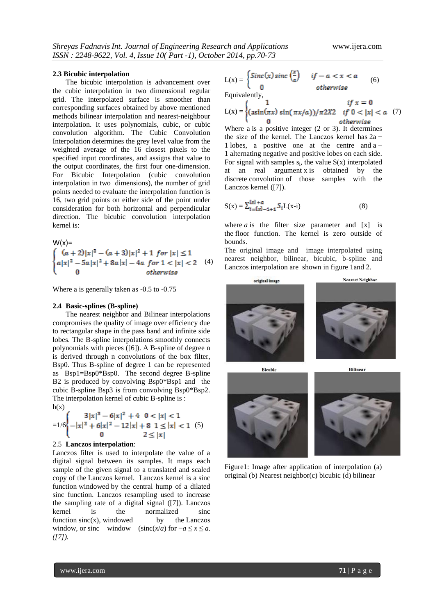#### **2.3 Bicubic interpolation**

The bicubic interpolation is advancement over the [cubic interpolation](http://en.wikipedia.org/wiki/Cubic_interpolation) in [two dimensional](http://en.wikipedia.org/wiki/Two_dimensional) [regular](http://en.wikipedia.org/wiki/Regular_grid)  [grid.](http://en.wikipedia.org/wiki/Regular_grid) The interpolated surface is [smoother](http://en.wikipedia.org/wiki/Smooth_function) than corresponding surfaces obtained by above mentioned methods [bilinear interpolation](http://en.wikipedia.org/wiki/Bilinear_interpolation) and [nearest-neighbour](http://en.wikipedia.org/wiki/Nearest-neighbor_interpolation) [interpolation.](http://en.wikipedia.org/wiki/Nearest-neighbor_interpolation) It uses polynomials, cubic, or [cubic](http://en.wikipedia.org/wiki/Bicubic_interpolation#Bicubic_convolution_algorithm)  [convolution](http://en.wikipedia.org/wiki/Bicubic_interpolation#Bicubic_convolution_algorithm) algorithm. The Cubic Convolution Interpolation determines the grey level value from the weighted average of the 16 closest pixels to the specified input coordinates, and assigns that value to the output coordinates, the first four one-dimension. For Bicubic Interpolation (cubic convolution interpolation in two dimensions), the number of grid points needed to evaluate the interpolation function is 16, two grid points on either side of the point under consideration for both horizontal and perpendicular direction. The bicubic convolution interpolation kernel is:

$$
W(x)=\begin{cases} (a+2)|x|^3 - (a+3)|x|^2 + 1 \text{ for } |x| \le 1\\ a|x|^3 - 5a|x|^2 + 8a|x| - 4a \text{ for } 1 < |x| < 2\\ 0 \text{ otherwise} \end{cases}
$$
(4)

Where a is generally taken as -0.5 to -0.75

#### **2.4 Basic-splines (B-spline)**

The nearest neighbor and Bilinear interpolations compromises the quality of image over efficiency due to rectangular shape in the pass band and infinite side lobes. The B-spline interpolations smoothly connects polynomials with pieces ([6]). A B-spline of degree n is derived through n convolutions of the box filter, Bsp0. Thus B-spline of degree 1 can be represented as Bsp1=Bsp0\*Bsp0. The second degree B-spline B2 is produced by convolving Bsp0\*Bsp1 and the cubic B-spline Bsp3 is from convolving Bsp0\*Bsp2. The interpolation kernel of cubic B-spline is :  $h(x)$ 

$$
=1/6\begin{cases}3|x|^3-6|x|^2+4 & 0 < |x| < 1\\-|x|^3+6|x|^2-12|x|+8 & 1 \le |x| < 1\\0 & 2 \le |x|\end{cases}
$$
 (5)

## 2.5 **Lanczos interpolation**:

Lanczos filter is used to interpolate the value of a [digital signal](http://en.wikipedia.org/wiki/Digital_signal) between its [samples.](http://en.wikipedia.org/wiki/Sample_(signal)) It maps each sample of the given signal to a translated and scaled copy of the Lanczos kernel. Lanczos kernel is a [sinc](http://en.wikipedia.org/wiki/Sinc_function)  [function](http://en.wikipedia.org/wiki/Sinc_function) [windowed](http://en.wikipedia.org/wiki/Window_function) by the central hump of a dilated sinc function. Lanczos resampling used to increase the [sampling rate](http://en.wikipedia.org/wiki/Sampling_rate) of a digital signal ([7]). Lanczos kernel is the normalized sinc function  $sinc(x)$ , [windowed](http://en.wikipedia.org/wiki/Window_function) by the Lanczos window, or sinc window (sinc( $x/a$ ) for  $-a \le x \le a$ . *([7]).*

$$
L(x) = \begin{cases} \text{Sinc}(x) \, \text{sinc}\left(\frac{x}{a}\right) & \text{if } -a < x < a \\ 0 & \text{otherwise} \end{cases} \tag{6}
$$
\nEquivalently,

$$
L(x) = \begin{cases} 1 & \text{if } x = 0\\ (\operatorname{asin}(\pi x) \sin(\pi x/a))/\pi 2X2 & \text{if } 0 < |x| < a \\ 0 & \text{otherwise} \end{cases} (7)
$$

Where a is a positive integer (2 or 3). It determines the size of the kernel. The Lanczos kernel has 2a − 1 lobes, a positive one at the centre and a − 1 alternating negative and positive lobes on each side. For signal with samples  $s_i$ , the value  $S(x)$  interpolated at an real argument x is obtained by the discrete [convolution](http://en.wikipedia.org/wiki/Convolution) of those samples with the Lanczos kernel ([7]).

$$
S(x) = \sum_{i=\{x\} - 1 + 1}^{\lfloor x \rfloor + a} S_i L(x - i)
$$
 (8)

where  $a$  is the filter size parameter and  $[x]$  is the [floor function.](http://en.wikipedia.org/wiki/Floor_function) The kernel is zero outside of bounds.

The original image and image interpolated using nearest neighbor, bilinear, bicubic, b-spline and Lanczos interpolation are shown in figure 1and 2.



Figure1: Image after application of interpolation (a) original (b) Nearest neighbor(c) bicubic (d) bilinear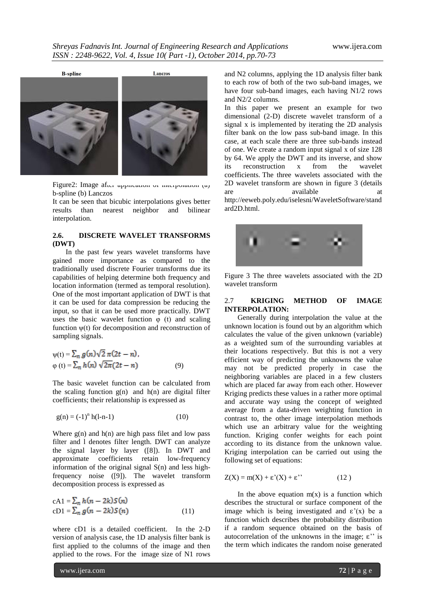

Figure2: Image after application of interpolation (a) b-spline (b) Lanczos

It can be seen that bicubic interpolations gives better results than nearest neighbor and bilinear interpolation.

## **2.6. DISCRETE WAVELET TRANSFORMS (DWT)**

In the past few years wavelet transforms have gained more importance as compared to the traditionally used discrete Fourier transforms due its capabilities of helping determine both frequency and location information (termed as temporal resolution). One of the most important application of DWT is that it can be used for data compression be reducing the input, so that it can be used more practically. DWT uses the basic wavelet function  $\varphi$  (t) and scaling function  $\psi(t)$  for decomposition and reconstruction of sampling signals.

$$
\psi(t) = \sum_{n} g(n) \sqrt{2} \pi (2t - n),
$$
  
\n
$$
\varphi(t) = \sum_{n} h(n) \sqrt{2\pi} (2t - n)
$$
\n(9)

The basic wavelet function can be calculated from the scaling function  $g(n)$  and  $h(n)$  are digital filter coefficients; their relationship is expressed as

$$
g(n) = (-1)^n h(l-n-1)
$$
 (10)

Where  $g(n)$  and  $h(n)$  are high pass filet and low pass filter and l denotes filter length. DWT can analyze the signal layer by layer ([8]). In DWT and approximate coefficients retain low-frequency information of the original signal S(n) and less highfrequency noise ([9]). The wavelet transform decomposition process is expressed as

$$
cA1 = \sum_{n} h(n - 2k)S(n)
$$
  
\n
$$
cD1 = \sum_{n} g(n - 2k)S(n)
$$
\n(11)

where cD1 is a detailed coefficient. In the 2-D version of analysis case, the 1D analysis filter bank is first applied to the columns of the image and then applied to the rows. For the image size of N1 rows

and N2 columns, applying the 1D analysis filter bank to each row of both of the two sub-band images, we have four sub-band images, each having N1/2 rows and N2/2 columns.

In this paper we present an example for two dimensional (2-D) discrete wavelet transform of a signal x is implemented by iterating the 2D analysis filter bank on the low pass sub-band image. In this case, at each scale there are three sub-bands instead of one. We create a random input signal x of size 128 by 64. We apply the DWT and its inverse, and show<br>its reconstruction x from the wavelet its reconstruction x from the wavelet coefficients. The three wavelets associated with the 2D wavelet transform are shown in figure 3 (details are available at a http://eeweb.poly.edu/iselesni/WaveletSoftware/stand ard2D.html.



Figure 3 The three wavelets associated with the 2D wavelet transform

## 2.7 **KRIGING METHOD OF IMAGE INTERPOLATION:**

Generally during interpolation the value at the unknown location is found out by an algorithm which calculates the value of the given unknown (variable) as a weighted sum of the surrounding variables at their locations respectively. But this is not a very efficient way of predicting the unknowns the value may not be predicted properly in case the neighboring variables are placed in a few clusters which are placed far away from each other. However Kriging predicts these values in a rather more optimal and accurate way using the concept of weighted average from a data-driven weighting function in contrast to, the other image interpolation methods which use an arbitrary value for the weighting function. Kriging confer weights for each point according to its distance from the unknown value. Kriging interpolation can be carried out using the following set of equations:

$$
Z(X) = m(X) + \varepsilon'(X) + \varepsilon''
$$
 (12)

In the above equation  $m(x)$  is a function which describes the structural or surface component of the image which is being investigated and  $\varepsilon'(x)$  be a function which describes the probability distribution if a random sequence obtained on the basis of autocorrelation of the unknowns in the image;  $\varepsilon$ " is the term which indicates the random noise generated